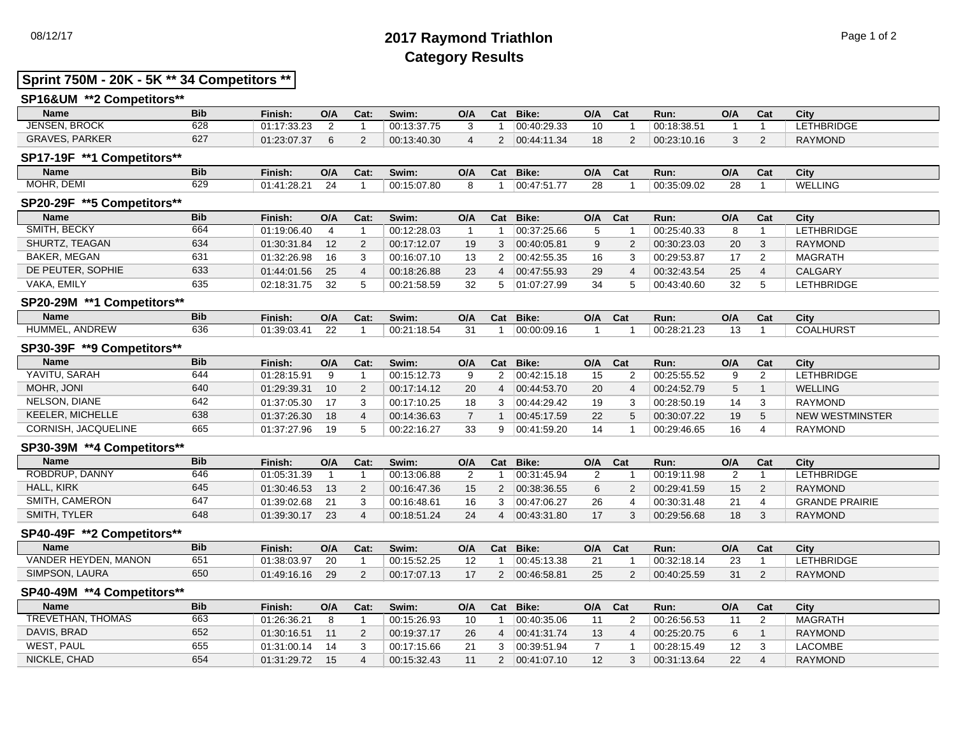## 08/12/17 **2017 Raymond Triathlon** Page 1 of 2 **Category Results**

### **Sprint 750M - 20K - 5K \*\* 34 Competitors \*\***

| SP16&UM **2 Competitors** |            |             |     |      |             |     |     |             |     |     |             |     |     |                |
|---------------------------|------------|-------------|-----|------|-------------|-----|-----|-------------|-----|-----|-------------|-----|-----|----------------|
| <b>Name</b>               | <b>Bib</b> | Finish:     | O/A | Cat: | Swim:       | O/A | Cat | Bike:       | O/A | Cat | Run:        | O/A | Cat | City           |
| <b>JENSEN, BROCK</b>      | 628        | 01:17:33.23 |     |      | 00:13:37.75 |     |     | 00:40:29.33 |     |     | 00:18:38.51 |     |     | LETHBRIDGE     |
| <b>GRAVES, PARKER</b>     | 627        | 01:23:07.37 |     |      | 00:13:40.30 |     |     | 00.44.11.34 |     |     | 00:23:10.16 |     |     | <b>RAYMOND</b> |

## **SP17-19F \*\*1 Competitors\*\***

| <b>Name</b>               | <b>Bib</b> | Finish:             | O/A | Cat: | Swim:       | O/A | Cat | Bike:                         | O/A | <u>_</u><br>∿d⊾ | Run:        | O/A        | $-$<br>vat | City           |
|---------------------------|------------|---------------------|-----|------|-------------|-----|-----|-------------------------------|-----|-----------------|-------------|------------|------------|----------------|
| IR, DEMI<br>MOHR<br>IVIU. | coc<br>০∠১ | :28.21<br>$01 - 41$ | -4  |      | 00:15:07.80 |     |     | $100.47$ F <sup>2</sup><br>—— | ∕ห  |                 | 00:35:09.02 | $\sqrt{2}$ |            | <b>WELLING</b> |
|                           |            |                     |     |      |             |     |     |                               |     |                 |             |            |            |                |

#### **SP20-29F \*\*5 Competitors\*\***

| <b>Name</b>       | <b>Bib</b> | Finish:     | O/A             | Cat: | Swim:       | O/A | Cat | Bike:       | O/A | Cat | Run:        | O/A | Cat | City              |
|-------------------|------------|-------------|-----------------|------|-------------|-----|-----|-------------|-----|-----|-------------|-----|-----|-------------------|
| SMITH, BECKY      | 664        | 01:19:06.40 |                 |      | 00:12:28.03 |     |     | 00:37:25.66 |     |     | 00:25:40.33 | 8   |     | <b>LETHBRIDGE</b> |
| SHURTZ, TEAGAN    | 634        | 01:30:31.84 | 12 <sup>°</sup> |      | 00:17:12.07 | 19  |     | 00.40.05.81 |     |     | 00:30:23.03 | 20  |     | RAYMOND           |
| BAKER, MEGAN      | 631        | 01:32:26.98 | 16              |      | 00:16:07.10 |     |     | 00:42:55.35 | 16  |     | 00:29:53.87 | 17  |     | MAGRATH           |
| DE PEUTER, SOPHIE | 633        | 01:44:01.56 | 25              |      | 00:18:26.88 | 23  |     | 00.47.55.93 | 29  |     | 00:32:43.54 | 25  |     | <b>CALGARY</b>    |
| VAKA. EMILY       | 635        | 02:18:31.75 | 32              |      | 00:21:58.59 | 32  |     | 01:07:27.99 |     |     | 00:43:40.60 | 32  |     | <b>LETHBRIDGE</b> |

### **SP20-29M \*\*1 Competitors\*\***

| <b>Name</b>                   | <b>Bib</b> | Finish:                   | O/A | Cat. | Swim:          | O/A                     | Cat | Bike:       | O/A | Cat | Run:                | O/A | ναι | City          |
|-------------------------------|------------|---------------------------|-----|------|----------------|-------------------------|-----|-------------|-----|-----|---------------------|-----|-----|---------------|
| <b>ANDREW</b><br><b>HUMME</b> | 636        | 01.20.02.11<br>UI.39.U3.4 |     |      | :18.5<br>00:21 | $\cdot$ $\cdot$ $\cdot$ |     | 00:00:09.16 |     |     | 00000<br>00.LU.LI.L |     |     | HURST<br>COAL |

#### **SP30-39F \*\*9 Competitors\*\***

| <b>Name</b>         | <b>Bib</b> | Finish:     | O/A | Cat: | Swim:       | O/A      | Cat      | Bike:       | O/A | Cat | Run:        | O/A | Cat | City            |
|---------------------|------------|-------------|-----|------|-------------|----------|----------|-------------|-----|-----|-------------|-----|-----|-----------------|
| YAVITU, SARAH       | 644        | 01:28:15.91 |     |      | 00:15:12.73 | $\Omega$ |          | 00:42:15.18 | 15  |     | 00:25:55.52 | 9   |     | LETHBRIDGE      |
| MOHR. JONI          | 640        | 01:29:39.31 | 10  |      | 00:17:14.12 | 20       |          | 00:44:53.70 | 20  |     | 00:24:52.79 | 5   |     | WELLING         |
| NELSON, DIANE       | 642        | 01:37:05.30 |     |      | 00:17:10.25 |          |          | 00:44:29.42 | 19  |     | 00:28:50.19 | 14  |     | RAYMOND         |
| KEELER, MICHELLE    | 638        | 01:37:26.30 | 18  |      | 00:14:36.63 |          |          | 00:45:17.59 | 22  |     | 00:30:07.22 | 19  |     | NEW WESTMINSTER |
| CORNISH, JACQUELINE | 665        | 01:37:27.96 | 19  |      | 00:22:16.27 | 33       | $\Omega$ | 00.41.59.20 |     |     | 00:29:46.65 | 16  |     | RAYMOND         |

#### **SP30-39M \*\*4 Competitors\*\***

| <b>Name</b>       | <b>Bib</b> | Finish:     | O/A | Cat: | Swim:       | O/A | Cat | Bike:       | O/A | Cat | Run:        | O/A | Cat | City                  |
|-------------------|------------|-------------|-----|------|-------------|-----|-----|-------------|-----|-----|-------------|-----|-----|-----------------------|
| ROBDRUP, DANNY    | 646        | 01:05:31.39 |     |      | 00:13:06.88 |     |     | 00:31:45.94 |     |     | 00:19:11.98 |     |     | <b>LETHBRIDGE</b>     |
| <b>HALL, KIRK</b> | 645        | 01:30:46.53 |     |      | 00:16:47.36 | 15  |     | 00:38:36.55 |     |     | 00:29:41.59 | 15  |     | RAYMOND               |
| SMITH, CAMERON    | 647        | 01:39:02.68 |     |      | 00:16:48.61 | 16  |     | 00:47:06.27 |     |     | 00:30:31.48 | 21  |     | <b>GRANDE PRAIRIE</b> |
| SMITH, TYLER      | 648        | 01:39:30.17 | 23  |      | 00:18:51.24 | 24  |     | 00.43.31.80 |     |     | 00:29:56.68 | 18  |     | RAYMOND               |

#### **SP40-49F \*\*2 Competitors\*\***

| <b>Name</b>               | <b>Bib</b> | Finish:     | O/A | Cat: | Swim:       | O/A            | Cat | Bike:       | O/A    | Cat | Run:        | O/A | Cat | City             |
|---------------------------|------------|-------------|-----|------|-------------|----------------|-----|-------------|--------|-----|-------------|-----|-----|------------------|
| VANDER HEYDEN.<br>' MANON | 651        | 01:38:03.97 | 20  |      | 00:15:52.25 | $\overline{ }$ |     | 00:45:13.38 | $\sim$ |     | 00:32:18.14 | 23  |     | <b>ETHBRIDGE</b> |
| SIMPSON, LAURA            | 650        | 01:49:16.16 | 29  |      | 00:17:07.13 | $\overline{a}$ |     | 00:46:58.81 |        |     | 00:40:25.59 | 31  |     | <b>RAYMOND</b>   |

#### **SP40-49M \*\*4 Competitors\*\***

| <b>Name</b>       | <b>Bib</b> | Finish:     | O/A | Cat: | Swim:       | O/A           | Cat | Bike:       | O/A | Cat | Run:        | O/A               | Cat | City           |
|-------------------|------------|-------------|-----|------|-------------|---------------|-----|-------------|-----|-----|-------------|-------------------|-----|----------------|
| TREVETHAN, THOMAS | 663        | 01:26:36.21 |     |      | 00:15:26.93 | 10            |     | 00:40:35.06 |     |     | 00:26:56.53 | 11                |     | MAGRATH        |
| DAVIS, BRAD       | 652        | 01:30:16.51 |     |      | 00:19:37.17 | 26            |     | 00.41.31.74 |     |     | 00:25:20.75 | 6                 |     | <b>RAYMOND</b> |
| WEST, PAUL        | 655        | 01:31:00.14 | 14  |      | 00:17:15.66 | $\mathcal{L}$ |     | 00:39:51.94 |     |     | 00:28:15.49 | $12 \overline{ }$ |     | LACOMBE        |
| NICKLE, CHAD      | 654        | 01:31:29.72 | 15  |      | 00:15:32.43 |               |     | 00:41:07.10 |     |     | 00:31:13.64 | 22                |     | <b>RAYMOND</b> |